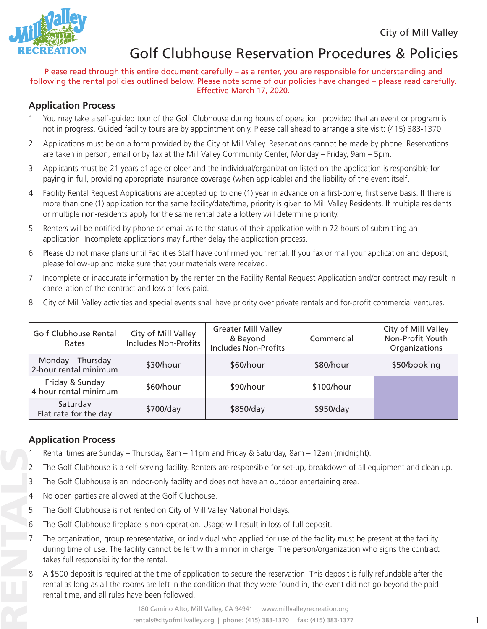

#### Please read through this entire document carefully – as a renter, you are responsible for understanding and following the rental policies outlined below. Please note some of our policies have changed – please read carefully. Effective March 17, 2020.

## **Application Process**

- 1. You may take a self-guided tour of the Golf Clubhouse during hours of operation, provided that an event or program is not in progress. Guided facility tours are by appointment only. Please call ahead to arrange a site visit: (415) 383-1370.
- 2. Applications must be on a form provided by the City of Mill Valley. Reservations cannot be made by phone. Reservations are taken in person, email or by fax at the Mill Valley Community Center, Monday – Friday, 9am – 5pm.
- 3. Applicants must be 21 years of age or older and the individual/organization listed on the application is responsible for paying in full, providing appropriate insurance coverage (when applicable) and the liability of the event itself.
- 4. Facility Rental Request Applications are accepted up to one (1) year in advance on a first-come, first serve basis. If there is more than one (1) application for the same facility/date/time, priority is given to Mill Valley Residents. If multiple residents or multiple non-residents apply for the same rental date a lottery will determine priority.
- 5. Renters will be notified by phone or email as to the status of their application within 72 hours of submitting an application. Incomplete applications may further delay the application process.
- 6. Please do not make plans until Facilities Staff have confirmed your rental. If you fax or mail your application and deposit, please follow-up and make sure that your materials were received.
- 7. Incomplete or inaccurate information by the renter on the Facility Rental Request Application and/or contract may result in cancellation of the contract and loss of fees paid.
- 8. City of Mill Valley activities and special events shall have priority over private rentals and for-profit commercial ventures.

| Golf Clubhouse Rental<br>Rates             | City of Mill Valley<br><b>Includes Non-Profits</b> | <b>Greater Mill Valley</b><br>& Beyond<br><b>Includes Non-Profits</b> | Commercial | City of Mill Valley<br>Non-Profit Youth<br>Organizations |
|--------------------------------------------|----------------------------------------------------|-----------------------------------------------------------------------|------------|----------------------------------------------------------|
| Monday - Thursday<br>2-hour rental minimum | \$30/hour                                          | \$60/hour                                                             | \$80/hour  | \$50/booking                                             |
| Friday & Sunday<br>4-hour rental minimum   | \$60/hour                                          | \$90/hour                                                             | \$100/hour |                                                          |
| Saturday<br>Flat rate for the day          | \$700/day                                          | \$850/day                                                             | \$950/day  |                                                          |

## **Application Process**

- 1. Rental times are Sunday Thursday, 8am 11pm and Friday & Saturday, 8am 12am (midnight).
- 2. The Golf Clubhouse is a self-serving facility. Renters are responsible for set-up, breakdown of all equipment and clean up.
- 3. The Golf Clubhouse is an indoor-only facility and does not have an outdoor entertaining area.
- 4. No open parties are allowed at the Golf Clubhouse.
- 5. The Golf Clubhouse is not rented on City of Mill Valley National Holidays.
- 6. The Golf Clubhouse fireplace is non-operation. Usage will result in loss of full deposit.
- 7. The organization, group representative, or individual who applied for use of the facility must be present at the facility during time of use. The facility cannot be left with a minor in charge. The person/organization who signs the contract takes full responsibility for the rental.
- 8. A \$500 deposit is required at the time of application to secure the reservation. This deposit is fully refundable after the rental as long as all the rooms are left in the condition that they were found in, the event did not go beyond the paid rental time, and all rules have been followed.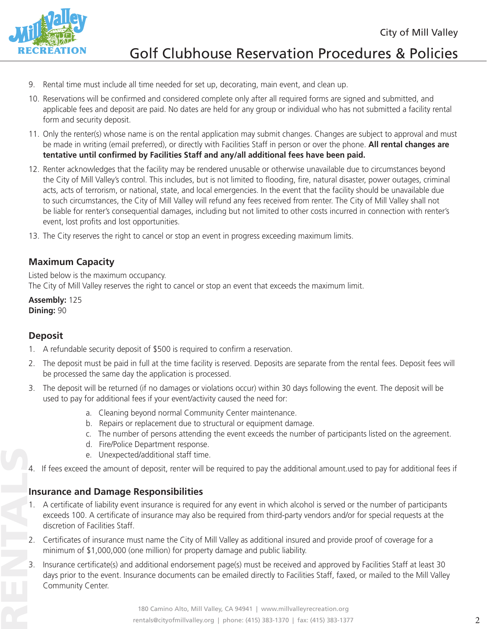

- 9. Rental time must include all time needed for set up, decorating, main event, and clean up.
- 10. Reservations will be confirmed and considered complete only after all required forms are signed and submitted, and applicable fees and deposit are paid. No dates are held for any group or individual who has not submitted a facility rental form and security deposit.
- 11. Only the renter(s) whose name is on the rental application may submit changes. Changes are subject to approval and must be made in writing (email preferred), or directly with Facilities Staff in person or over the phone. **All rental changes are tentative until confirmed by Facilities Staff and any/all additional fees have been paid.**
- 12. Renter acknowledges that the facility may be rendered unusable or otherwise unavailable due to circumstances beyond the City of Mill Valley's control. This includes, but is not limited to flooding, fire, natural disaster, power outages, criminal acts, acts of terrorism, or national, state, and local emergencies. In the event that the facility should be unavailable due to such circumstances, the City of Mill Valley will refund any fees received from renter. The City of Mill Valley shall not be liable for renter's consequential damages, including but not limited to other costs incurred in connection with renter's event, lost profits and lost opportunities.
- 13. The City reserves the right to cancel or stop an event in progress exceeding maximum limits.

## **Maximum Capacity**

Listed below is the maximum occupancy. The City of Mill Valley reserves the right to cancel or stop an event that exceeds the maximum limit.

**Assembly:** 125 **Dining:** 90

## **Deposit**

- 1. A refundable security deposit of \$500 is required to confirm a reservation.
- 2. The deposit must be paid in full at the time facility is reserved. Deposits are separate from the rental fees. Deposit fees will be processed the same day the application is processed.
- 3. The deposit will be returned (if no damages or violations occur) within 30 days following the event. The deposit will be used to pay for additional fees if your event/activity caused the need for:
	- a. Cleaning beyond normal Community Center maintenance.
	- b. Repairs or replacement due to structural or equipment damage.
	- c. The number of persons attending the event exceeds the number of participants listed on the agreement.
	- d. Fire/Police Department response.
	- e. Unexpected/additional staff time.
- 4. If fees exceed the amount of deposit, renter will be required to pay the additional amount.used to pay for additional fees if

## **Insurance and Damage Responsibilities**

- 1. A certificate of liability event insurance is required for any event in which alcohol is served or the number of participants exceeds 100. A certificate of insurance may also be required from third-party vendors and/or for special requests at the discretion of Facilities Staff.
- 2. Certificates of insurance must name the City of Mill Valley as additional insured and provide proof of coverage for a minimum of \$1,000,000 (one million) for property damage and public liability.
- 3. Insurance certificate(s) and additional endorsement page(s) must be received and approved by Facilities Staff at least 30 days prior to the event. Insurance documents can be emailed directly to Facilities Staff, faxed, or mailed to the Mill Valley Community Center.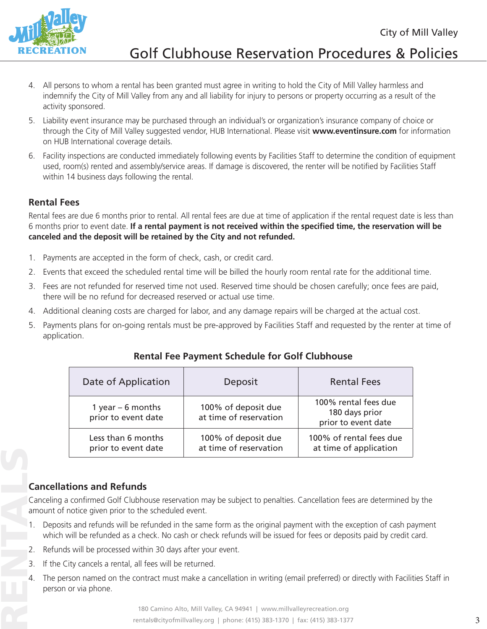

- 4. All persons to whom a rental has been granted must agree in writing to hold the City of Mill Valley harmless and indemnify the City of Mill Valley from any and all liability for injury to persons or property occurring as a result of the activity sponsored.
- 5. Liability event insurance may be purchased through an individual's or organization's insurance company of choice or through the City of Mill Valley suggested vendor, HUB International. Please visit **www.eventinsure.com** for information on HUB International coverage details.
- 6. Facility inspections are conducted immediately following events by Facilities Staff to determine the condition of equipment used, room(s) rented and assembly/service areas. If damage is discovered, the renter will be notified by Facilities Staff within 14 business days following the rental.

## **Rental Fees**

Rental fees are due 6 months prior to rental. All rental fees are due at time of application if the rental request date is less than 6 months prior to event date. **If a rental payment is not received within the specified time, the reservation will be canceled and the deposit will be retained by the City and not refunded.**

- 1. Payments are accepted in the form of check, cash, or credit card.
- 2. Events that exceed the scheduled rental time will be billed the hourly room rental rate for the additional time.
- 3. Fees are not refunded for reserved time not used. Reserved time should be chosen carefully; once fees are paid, there will be no refund for decreased reserved or actual use time.
- 4. Additional cleaning costs are charged for labor, and any damage repairs will be charged at the actual cost.
- 5. Payments plans for on-going rentals must be pre-approved by Facilities Staff and requested by the renter at time of application.

| Date of Application                       | Deposit                                       | <b>Rental Fees</b>                                            |
|-------------------------------------------|-----------------------------------------------|---------------------------------------------------------------|
| 1 year $-6$ months<br>prior to event date | 100% of deposit due<br>at time of reservation | 100% rental fees due<br>180 days prior<br>prior to event date |
| Less than 6 months<br>prior to event date | 100% of deposit due<br>at time of reservation | 100% of rental fees due<br>at time of application             |

## **Rental Fee Payment Schedule for Golf Clubhouse**

## **Cancellations and Refunds**

Canceling a confirmed Golf Clubhouse reservation may be subject to penalties. Cancellation fees are determined by the amount of notice given prior to the scheduled event.

- 1. Deposits and refunds will be refunded in the same form as the original payment with the exception of cash payment which will be refunded as a check. No cash or check refunds will be issued for fees or deposits paid by credit card.
- 2. Refunds will be processed within 30 days after your event.
- 3. If the City cancels a rental, all fees will be returned.
- 4. The person named on the contract must make a cancellation in writing (email preferred) or directly with Facilities Staff in person or via phone.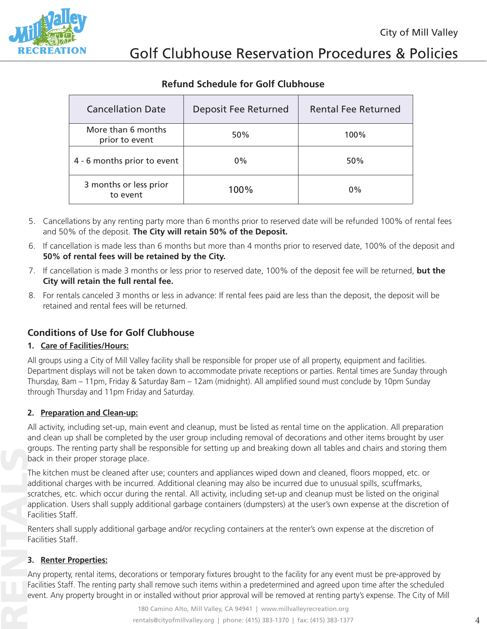

## **Refund Schedule for Golf Clubhouse**

| <b>Cancellation Date</b>             | <b>Deposit Fee Returned</b> | <b>Rental Fee Returned</b> |
|--------------------------------------|-----------------------------|----------------------------|
| More than 6 months<br>prior to event | 50%                         | 100%                       |
| 4 - 6 months prior to event          | $0\%$                       | 50%                        |
| 3 months or less prior<br>to event   | 100%                        | $0\%$                      |

- 5. Cancellations by any renting party more than 6 months prior to reserved date will be refunded 100% of rental fees and 50% of the deposit. **The City will retain 50% of the Deposit.**
- 6. If cancellation is made less than 6 months but more than 4 months prior to reserved date, 100% of the deposit and **50% of rental fees will be retained by the City.**
- 7. If cancellation is made 3 months or less prior to reserved date, 100% of the deposit fee will be returned, **but the City will retain the full rental fee.**
- 8. For rentals canceled 3 months or less in advance: If rental fees paid are less than the deposit, the deposit will be retained and rental fees will be returned.

## **Conditions of Use for Golf Clubhouse**

### **1. Care of Facilities/Hours:**

All groups using a City of Mill Valley facility shall be responsible for proper use of all property, equipment and facilities. Department displays will not be taken down to accommodate private receptions or parties. Rental times are Sunday through Thursday, 8am – 11pm, Friday & Saturday 8am – 12am (midnight). All amplified sound must conclude by 10pm Sunday through Thursday and 11pm Friday and Saturday.

### **2. Preparation and Clean-up:**

All activity, including set-up, main event and cleanup, must be listed as rental time on the application. All preparation and clean up shall be completed by the user group including removal of decorations and other items brought by user groups. The renting party shall be responsible for setting up and breaking down all tables and chairs and storing them back in their proper storage place.

RENTALS The kitchen must be cleaned after use; counters and appliances wiped down and cleaned, floors mopped, etc. or additional charges with be incurred. Additional cleaning may also be incurred due to unusual spills, scuffmarks, scratches, etc. which occur during the rental. All activity, including set-up and cleanup must be listed on the original application. Users shall supply additional garbage containers (dumpsters) at the user's own expense at the discretion of Facilities Staff.

Renters shall supply additional garbage and/or recycling containers at the renter's own expense at the discretion of Facilities Staff.

#### **3. Renter Properties:**

Any property, rental items, decorations or temporary fixtures brought to the facility for any event must be pre-approved by Facilities Staff. The renting party shall remove such items within a predetermined and agreed upon time after the scheduled event. Any property brought in or installed without prior approval will be removed at renting party's expense. The City of Mill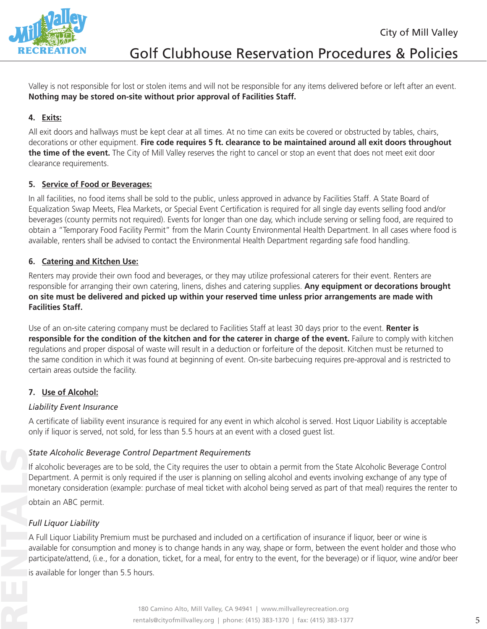

Valley is not responsible for lost or stolen items and will not be responsible for any items delivered before or left after an event. **Nothing may be stored on-site without prior approval of Facilities Staff.**

### **4. Exits:**

All exit doors and hallways must be kept clear at all times. At no time can exits be covered or obstructed by tables, chairs, decorations or other equipment. **Fire code requires 5 ft. clearance to be maintained around all exit doors throughout the time of the event.** The City of Mill Valley reserves the right to cancel or stop an event that does not meet exit door clearance requirements.

### **5. Service of Food or Beverages:**

In all facilities, no food items shall be sold to the public, unless approved in advance by Facilities Staff. A State Board of Equalization Swap Meets, Flea Markets, or Special Event Certification is required for all single day events selling food and/or beverages (county permits not required). Events for longer than one day, which include serving or selling food, are required to obtain a "Temporary Food Facility Permit" from the Marin County Environmental Health Department. In all cases where food is available, renters shall be advised to contact the Environmental Health Department regarding safe food handling.

#### **6. Catering and Kitchen Use:**

Renters may provide their own food and beverages, or they may utilize professional caterers for their event. Renters are responsible for arranging their own catering, linens, dishes and catering supplies. **Any equipment or decorations brought on site must be delivered and picked up within your reserved time unless prior arrangements are made with Facilities Staff.** 

Use of an on-site catering company must be declared to Facilities Staff at least 30 days prior to the event. **Renter is responsible for the condition of the kitchen and for the caterer in charge of the event. Failure to comply with kitchen** regulations and proper disposal of waste will result in a deduction or forfeiture of the deposit. Kitchen must be returned to the same condition in which it was found at beginning of event. On-site barbecuing requires pre-approval and is restricted to certain areas outside the facility.

### **7. Use of Alcohol:**

#### *Liability Event Insurance*

A certificate of liability event insurance is required for any event in which alcohol is served. Host Liquor Liability is acceptable only if liquor is served, not sold, for less than 5.5 hours at an event with a closed guest list.

### *State Alcoholic Beverage Control Department Requirements*

If alcoholic beverages are to be sold, the City requires the user to obtain a permit from the State Alcoholic Beverage Control Department. A permit is only required if the user is planning on selling alcohol and events involving exchange of any type of monetary consideration (example: purchase of meal ticket with alcohol being served as part of that meal) requires the renter to

obtain an ABC permit.

### *Full Liquor Liability*

A Full Liquor Liability Premium must be purchased and included on a certification of insurance if liquor, beer or wine is available for consumption and money is to change hands in any way, shape or form, between the event holder and those who participate/attend, (i.e., for a donation, ticket, for a meal, for entry to the event, for the beverage) or if liquor, wine and/or beer

is available for longer than 5.5 hours.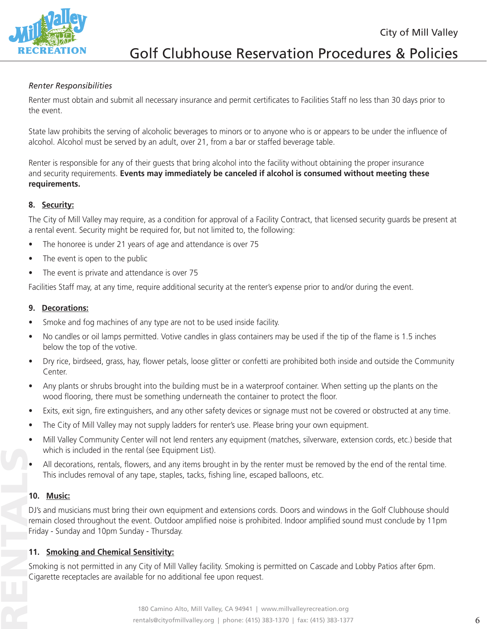City of Mill Valley



# Golf Clubhouse Reservation Procedures & Policies

#### *Renter Responsibilities*

Renter must obtain and submit all necessary insurance and permit certificates to Facilities Staff no less than 30 days prior to the event.

State law prohibits the serving of alcoholic beverages to minors or to anyone who is or appears to be under the influence of alcohol. Alcohol must be served by an adult, over 21, from a bar or staffed beverage table.

Renter is responsible for any of their guests that bring alcohol into the facility without obtaining the proper insurance and security requirements. **Events may immediately be canceled if alcohol is consumed without meeting these requirements.** 

#### **8. Security:**

The City of Mill Valley may require, as a condition for approval of a Facility Contract, that licensed security guards be present at a rental event. Security might be required for, but not limited to, the following:

- The honoree is under 21 years of age and attendance is over 75
- The event is open to the public
- The event is private and attendance is over 75

Facilities Staff may, at any time, require additional security at the renter's expense prior to and/or during the event.

#### **9. Decorations:**

- Smoke and fog machines of any type are not to be used inside facility.
- No candles or oil lamps permitted. Votive candles in glass containers may be used if the tip of the flame is 1.5 inches below the top of the votive.
- Dry rice, birdseed, grass, hay, flower petals, loose glitter or confetti are prohibited both inside and outside the Community Center.
- Any plants or shrubs brought into the building must be in a waterproof container. When setting up the plants on the wood flooring, there must be something underneath the container to protect the floor.
- Exits, exit sign, fire extinguishers, and any other safety devices or signage must not be covered or obstructed at any time.
- The City of Mill Valley may not supply ladders for renter's use. Please bring your own equipment.
- Mill Valley Community Center will not lend renters any equipment (matches, silverware, extension cords, etc.) beside that which is included in the rental (see Equipment List).
- All decorations, rentals, flowers, and any items brought in by the renter must be removed by the end of the rental time. This includes removal of any tape, staples, tacks, fishing line, escaped balloons, etc.

### **10. Music:**

DJ's and musicians must bring their own equipment and extensions cords. Doors and windows in the Golf Clubhouse should remain closed throughout the event. Outdoor amplified noise is prohibited. Indoor amplified sound must conclude by 11pm Friday - Sunday and 10pm Sunday - Thursday.

#### **11. Smoking and Chemical Sensitivity:**

Smoking is not permitted in any City of Mill Valley facility. Smoking is permitted on Cascade and Lobby Patios after 6pm. Cigarette receptacles are available for no additional fee upon request.